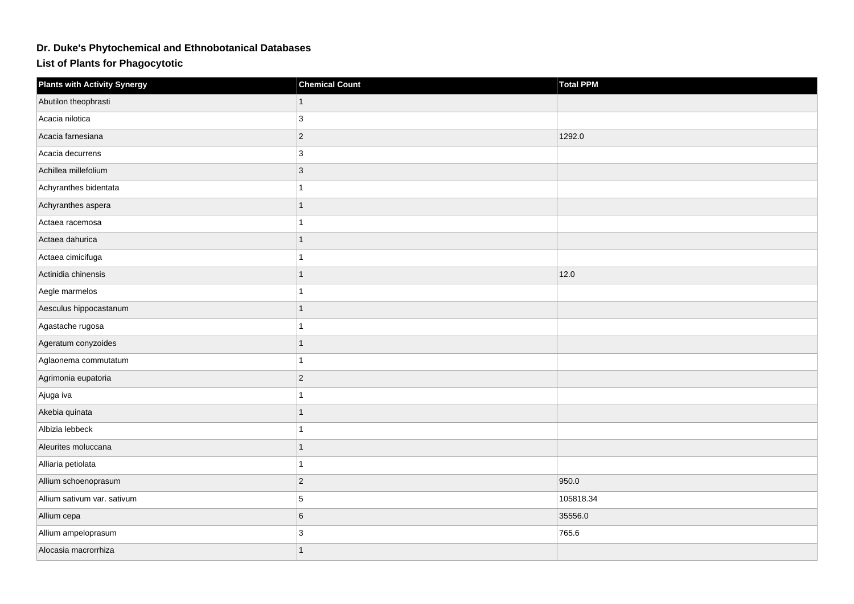## **Dr. Duke's Phytochemical and Ethnobotanical Databases**

**List of Plants for Phagocytotic**

| <b>Plants with Activity Synergy</b> | <b>Chemical Count</b> | <b>Total PPM</b> |
|-------------------------------------|-----------------------|------------------|
| Abutilon theophrasti                |                       |                  |
| Acacia nilotica                     | 3                     |                  |
| Acacia farnesiana                   | $ 2\rangle$           | 1292.0           |
| Acacia decurrens                    | 3                     |                  |
| Achillea millefolium                | $ 3\rangle$           |                  |
| Achyranthes bidentata               |                       |                  |
| Achyranthes aspera                  |                       |                  |
| Actaea racemosa                     | 1                     |                  |
| Actaea dahurica                     | $\mathbf{1}$          |                  |
| Actaea cimicifuga                   |                       |                  |
| Actinidia chinensis                 | $\overline{1}$        | 12.0             |
| Aegle marmelos                      |                       |                  |
| Aesculus hippocastanum              |                       |                  |
| Agastache rugosa                    | 1                     |                  |
| Ageratum conyzoides                 | 1                     |                  |
| Aglaonema commutatum                |                       |                  |
| Agrimonia eupatoria                 | $ 2\rangle$           |                  |
| Ajuga iva                           |                       |                  |
| Akebia quinata                      |                       |                  |
| Albizia lebbeck                     | 1                     |                  |
| Aleurites moluccana                 | 1                     |                  |
| Alliaria petiolata                  | 1                     |                  |
| Allium schoenoprasum                | $ 2\rangle$           | 950.0            |
| Allium sativum var. sativum         | 5                     | 105818.34        |
| Allium cepa                         | $6\phantom{1}$        | 35556.0          |
| Allium ampeloprasum                 | $\mathbf{3}$          | 765.6            |
| Alocasia macrorrhiza                | 1                     |                  |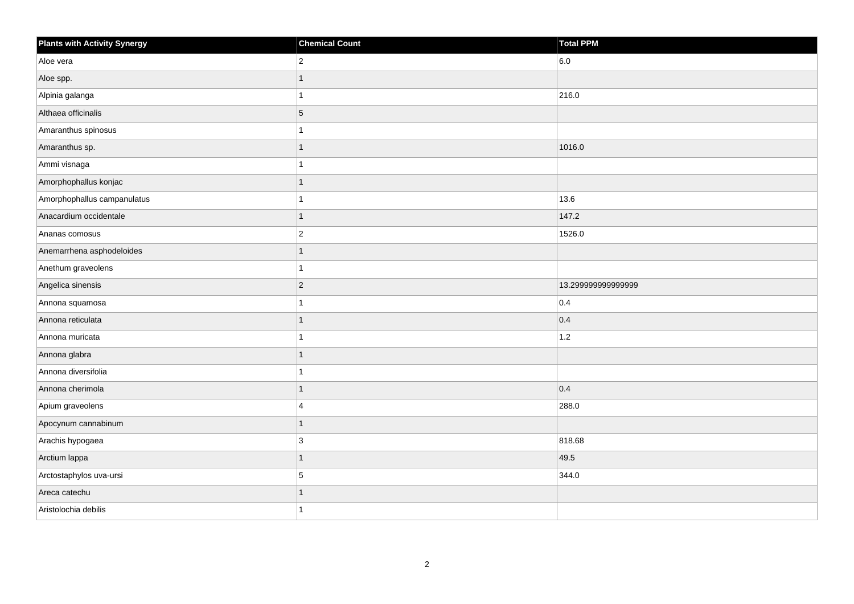| <b>Plants with Activity Synergy</b> | <b>Chemical Count</b> | <b>Total PPM</b>   |
|-------------------------------------|-----------------------|--------------------|
| Aloe vera                           | $\overline{2}$        | 6.0                |
| Aloe spp.                           |                       |                    |
| Alpinia galanga                     | 1                     | 216.0              |
| Althaea officinalis                 | $\overline{5}$        |                    |
| Amaranthus spinosus                 |                       |                    |
| Amaranthus sp.                      |                       | 1016.0             |
| Ammi visnaga                        |                       |                    |
| Amorphophallus konjac               |                       |                    |
| Amorphophallus campanulatus         |                       | 13.6               |
| Anacardium occidentale              | $\overline{1}$        | 147.2              |
| Ananas comosus                      | $ 2\rangle$           | 1526.0             |
| Anemarrhena asphodeloides           |                       |                    |
| Anethum graveolens                  |                       |                    |
| Angelica sinensis                   | $ 2\rangle$           | 13.299999999999999 |
| Annona squamosa                     | 1                     | 0.4                |
| Annona reticulata                   | 1                     | 0.4                |
| Annona muricata                     |                       | $1.2$              |
| Annona glabra                       |                       |                    |
| Annona diversifolia                 | 1                     |                    |
| Annona cherimola                    |                       | 0.4                |
| Apium graveolens                    | $\overline{4}$        | 288.0              |
| Apocynum cannabinum                 | 1                     |                    |
| Arachis hypogaea                    | 3                     | 818.68             |
| Arctium lappa                       |                       | 49.5               |
| Arctostaphylos uva-ursi             | 5                     | 344.0              |
| Areca catechu                       |                       |                    |
| Aristolochia debilis                |                       |                    |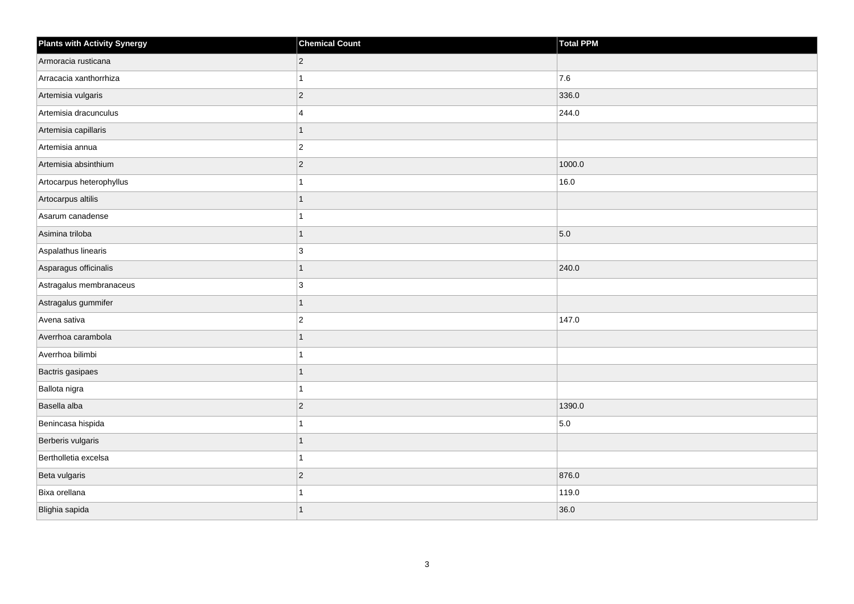| <b>Plants with Activity Synergy</b> | <b>Chemical Count</b> | Total PPM |
|-------------------------------------|-----------------------|-----------|
| Armoracia rusticana                 | $\overline{2}$        |           |
| Arracacia xanthorrhiza              |                       | 7.6       |
| Artemisia vulgaris                  | $\overline{c}$        | 336.0     |
| Artemisia dracunculus               | 4                     | 244.0     |
| Artemisia capillaris                | 1                     |           |
| Artemisia annua                     | $\overline{2}$        |           |
| Artemisia absinthium                | $\overline{2}$        | 1000.0    |
| Artocarpus heterophyllus            |                       | 16.0      |
| Artocarpus altilis                  |                       |           |
| Asarum canadense                    |                       |           |
| Asimina triloba                     | 1                     | 5.0       |
| Aspalathus linearis                 | 3                     |           |
| Asparagus officinalis               | $\overline{1}$        | 240.0     |
| Astragalus membranaceus             | 3                     |           |
| Astragalus gummifer                 | 1                     |           |
| Avena sativa                        | $\overline{2}$        | 147.0     |
| Averrhoa carambola                  |                       |           |
| Averrhoa bilimbi                    |                       |           |
| Bactris gasipaes                    | 1                     |           |
| Ballota nigra                       |                       |           |
| Basella alba                        | $\overline{2}$        | 1390.0    |
| Benincasa hispida                   | 1                     | 5.0       |
| Berberis vulgaris                   |                       |           |
| Bertholletia excelsa                |                       |           |
| Beta vulgaris                       | $\overline{2}$        | 876.0     |
| Bixa orellana                       |                       | 119.0     |
| Blighia sapida                      |                       | 36.0      |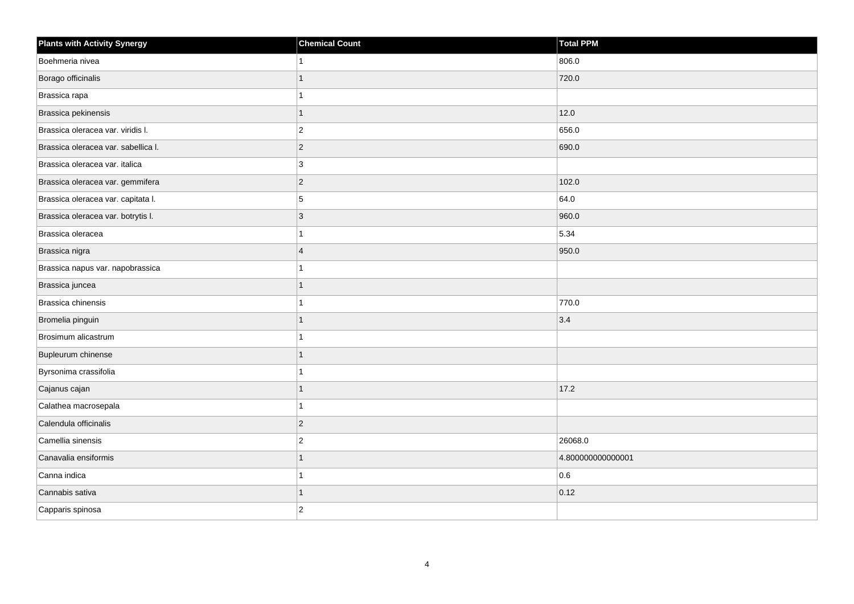| <b>Plants with Activity Synergy</b> | <b>Chemical Count</b>   | Total PPM         |
|-------------------------------------|-------------------------|-------------------|
| Boehmeria nivea                     |                         | 806.0             |
| Borago officinalis                  | 1                       | 720.0             |
| Brassica rapa                       | 1                       |                   |
| Brassica pekinensis                 | 1                       | 12.0              |
| Brassica oleracea var. viridis I.   | $\overline{2}$          | 656.0             |
| Brassica oleracea var. sabellica I. | $\sqrt{2}$              | 690.0             |
| Brassica oleracea var. italica      | 3                       |                   |
| Brassica oleracea var. gemmifera    | $\overline{2}$          | 102.0             |
| Brassica oleracea var. capitata I.  | 5                       | 64.0              |
| Brassica oleracea var. botrytis I.  | $\sqrt{3}$              | 960.0             |
| Brassica oleracea                   |                         | 5.34              |
| Brassica nigra                      | $\overline{\mathbf{A}}$ | 950.0             |
| Brassica napus var. napobrassica    | 1                       |                   |
| Brassica juncea                     | 1                       |                   |
| Brassica chinensis                  |                         | 770.0             |
| Bromelia pinguin                    | 1                       | 3.4               |
| Brosimum alicastrum                 |                         |                   |
| Bupleurum chinense                  |                         |                   |
| Byrsonima crassifolia               | 1                       |                   |
| Cajanus cajan                       |                         | 17.2              |
| Calathea macrosepala                |                         |                   |
| Calendula officinalis               | $\vert$ 2               |                   |
| Camellia sinensis                   | 2                       | 26068.0           |
| Canavalia ensiformis                |                         | 4.800000000000001 |
| Canna indica                        | 1                       | 0.6               |
| Cannabis sativa                     | 1                       | 0.12              |
| Capparis spinosa                    | $\overline{2}$          |                   |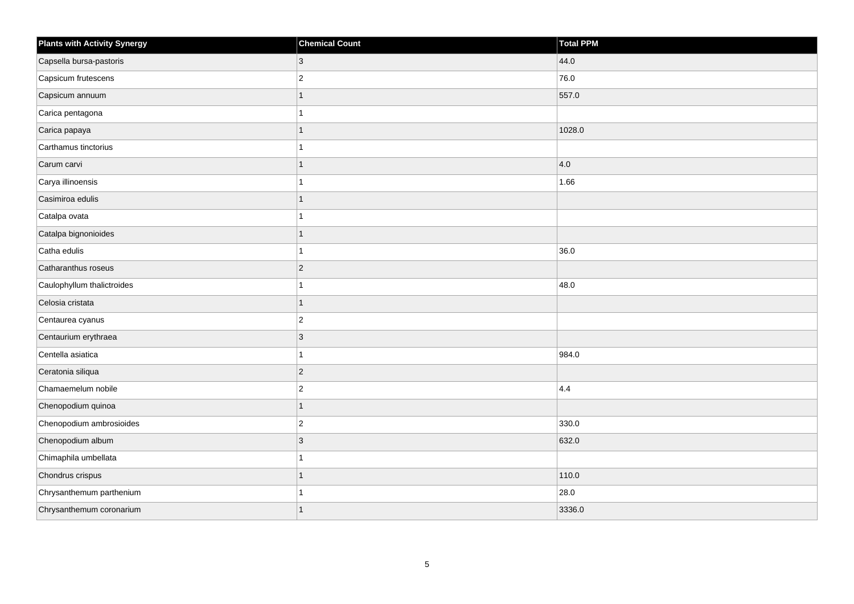| <b>Plants with Activity Synergy</b> | <b>Chemical Count</b> | Total PPM |
|-------------------------------------|-----------------------|-----------|
| Capsella bursa-pastoris             | 3                     | 44.0      |
| Capsicum frutescens                 | $\overline{c}$        | 76.0      |
| Capsicum annuum                     |                       | 557.0     |
| Carica pentagona                    |                       |           |
| Carica papaya                       |                       | 1028.0    |
| Carthamus tinctorius                |                       |           |
| Carum carvi                         |                       | 4.0       |
| Carya illinoensis                   |                       | 1.66      |
| Casimiroa edulis                    |                       |           |
| Catalpa ovata                       |                       |           |
| Catalpa bignonioides                |                       |           |
| Catha edulis                        |                       | 36.0      |
| Catharanthus roseus                 | $ 2\rangle$           |           |
| Caulophyllum thalictroides          |                       | 48.0      |
| Celosia cristata                    |                       |           |
| Centaurea cyanus                    | $ 2\rangle$           |           |
| Centaurium erythraea                | 3                     |           |
| Centella asiatica                   |                       | 984.0     |
| Ceratonia siliqua                   | $ 2\rangle$           |           |
| Chamaemelum nobile                  | $\overline{2}$        | 4.4       |
| Chenopodium quinoa                  |                       |           |
| Chenopodium ambrosioides            | $ 2\rangle$           | 330.0     |
| Chenopodium album                   | 3                     | 632.0     |
| Chimaphila umbellata                |                       |           |
| Chondrus crispus                    |                       | 110.0     |
| Chrysanthemum parthenium            |                       | 28.0      |
| Chrysanthemum coronarium            |                       | 3336.0    |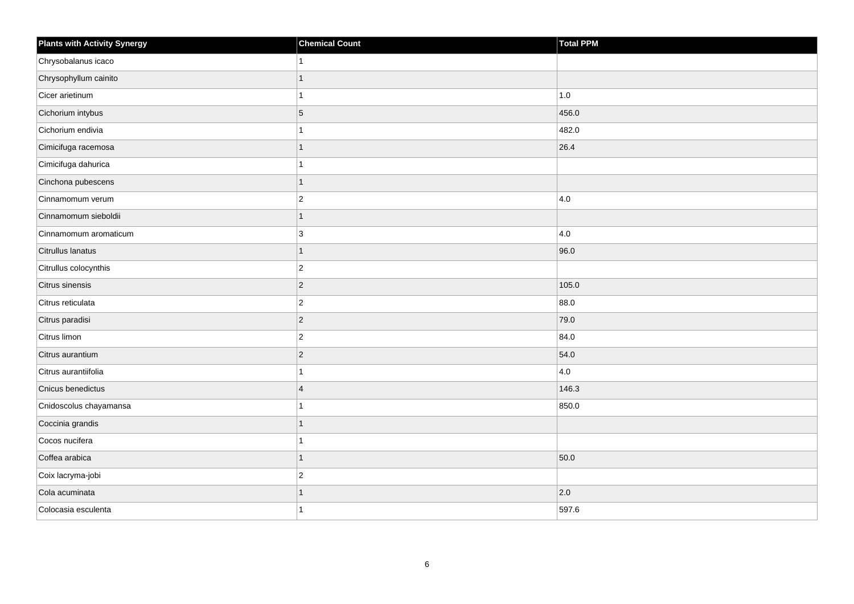| <b>Plants with Activity Synergy</b> | <b>Chemical Count</b>   | Total PPM |
|-------------------------------------|-------------------------|-----------|
| Chrysobalanus icaco                 |                         |           |
| Chrysophyllum cainito               |                         |           |
| Cicer arietinum                     |                         | 1.0       |
| Cichorium intybus                   | 5                       | 456.0     |
| Cichorium endivia                   |                         | 482.0     |
| Cimicifuga racemosa                 |                         | 26.4      |
| Cimicifuga dahurica                 |                         |           |
| Cinchona pubescens                  |                         |           |
| Cinnamomum verum                    | $\overline{2}$          | 4.0       |
| Cinnamomum sieboldii                | 1                       |           |
| Cinnamomum aromaticum               | 3                       | 4.0       |
| Citrullus lanatus                   | 1                       | 96.0      |
| Citrullus colocynthis               | $\overline{2}$          |           |
| Citrus sinensis                     | $\overline{2}$          | 105.0     |
| Citrus reticulata                   | $\overline{c}$          | 88.0      |
| Citrus paradisi                     | $\overline{2}$          | 79.0      |
| Citrus limon                        | $\overline{2}$          | 84.0      |
| Citrus aurantium                    | $\overline{2}$          | 54.0      |
| Citrus aurantiifolia                |                         | 4.0       |
| Cnicus benedictus                   | $\overline{\mathbf{A}}$ | 146.3     |
| Cnidoscolus chayamansa              |                         | 850.0     |
| Coccinia grandis                    | 1                       |           |
| Cocos nucifera                      |                         |           |
| Coffea arabica                      |                         | 50.0      |
| Coix lacryma-jobi                   | $\overline{c}$          |           |
| Cola acuminata                      |                         | 2.0       |
| Colocasia esculenta                 |                         | 597.6     |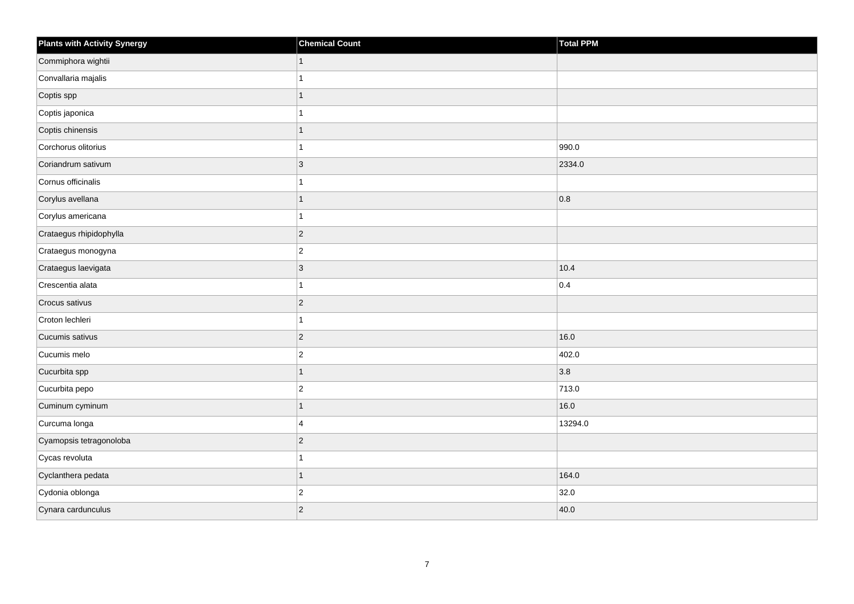| <b>Plants with Activity Synergy</b> | <b>Chemical Count</b> | Total PPM |
|-------------------------------------|-----------------------|-----------|
| Commiphora wightii                  | $\mathbf{1}$          |           |
| Convallaria majalis                 | 1                     |           |
| Coptis spp                          | $\overline{1}$        |           |
| Coptis japonica                     | 1                     |           |
| Coptis chinensis                    | $\mathbf{1}$          |           |
| Corchorus olitorius                 | 1                     | 990.0     |
| Coriandrum sativum                  | $ 3\rangle$           | 2334.0    |
| Cornus officinalis                  | 1                     |           |
| Corylus avellana                    | 1                     | 0.8       |
| Corylus americana                   | $\mathbf{1}$          |           |
| Crataegus rhipidophylla             | $ 2\rangle$           |           |
| Crataegus monogyna                  | $ 2\rangle$           |           |
| Crataegus laevigata                 | $ 3\rangle$           | 10.4      |
| Crescentia alata                    | 1                     | 0.4       |
| Crocus sativus                      | $ 2\rangle$           |           |
| Croton lechleri                     | $\mathbf{1}$          |           |
| Cucumis sativus                     | $ 2\rangle$           | 16.0      |
| Cucumis melo                        | $\overline{2}$        | 402.0     |
| Cucurbita spp                       | $\overline{1}$        | 3.8       |
| Cucurbita pepo                      | $ 2\rangle$           | 713.0     |
| Cuminum cyminum                     | $\overline{1}$        | 16.0      |
| Curcuma longa                       | $\overline{4}$        | 13294.0   |
| Cyamopsis tetragonoloba             | $ 2\rangle$           |           |
| Cycas revoluta                      | $\mathbf{1}$          |           |
| Cyclanthera pedata                  | 1                     | 164.0     |
| Cydonia oblonga                     | $ 2\rangle$           | 32.0      |
| Cynara cardunculus                  | $\overline{2}$        | 40.0      |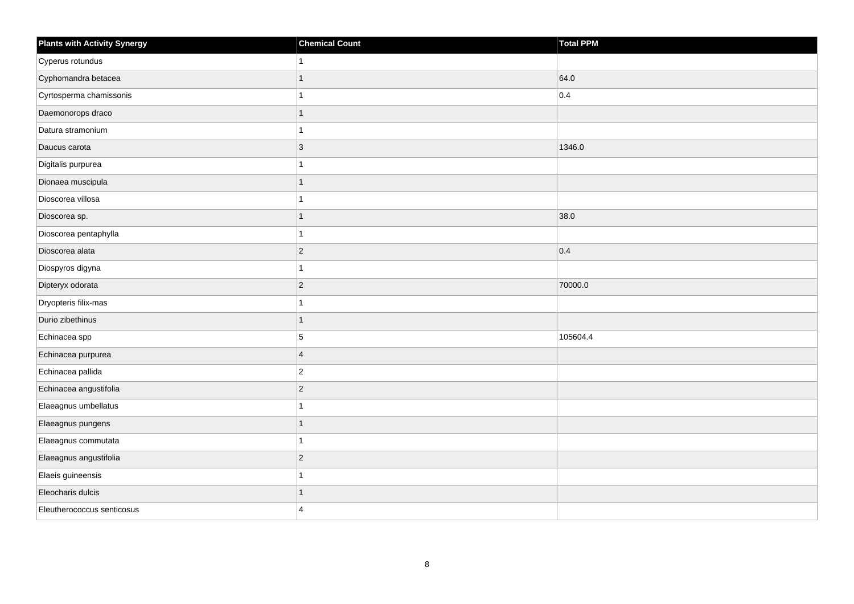| <b>Plants with Activity Synergy</b> | <b>Chemical Count</b> | Total PPM |
|-------------------------------------|-----------------------|-----------|
| Cyperus rotundus                    |                       |           |
| Cyphomandra betacea                 |                       | 64.0      |
| Cyrtosperma chamissonis             |                       | 0.4       |
| Daemonorops draco                   | 1                     |           |
| Datura stramonium                   |                       |           |
| Daucus carota                       | 3                     | 1346.0    |
| Digitalis purpurea                  |                       |           |
| Dionaea muscipula                   | 1                     |           |
| Dioscorea villosa                   |                       |           |
| Dioscorea sp.                       | 1                     | 38.0      |
| Dioscorea pentaphylla               |                       |           |
| Dioscorea alata                     | $\overline{2}$        | 0.4       |
| Diospyros digyna                    | 1                     |           |
| Dipteryx odorata                    | $\overline{2}$        | 70000.0   |
| Dryopteris filix-mas                |                       |           |
| Durio zibethinus                    | 1                     |           |
| Echinacea spp                       | 5                     | 105604.4  |
| Echinacea purpurea                  | $\overline{4}$        |           |
| Echinacea pallida                   | $\overline{2}$        |           |
| Echinacea angustifolia              | $\overline{2}$        |           |
| Elaeagnus umbellatus                |                       |           |
| Elaeagnus pungens                   | $\overline{1}$        |           |
| Elaeagnus commutata                 |                       |           |
| Elaeagnus angustifolia              | $\overline{2}$        |           |
| Elaeis guineensis                   | 1                     |           |
| Eleocharis dulcis                   |                       |           |
| Eleutherococcus senticosus          | $\Delta$              |           |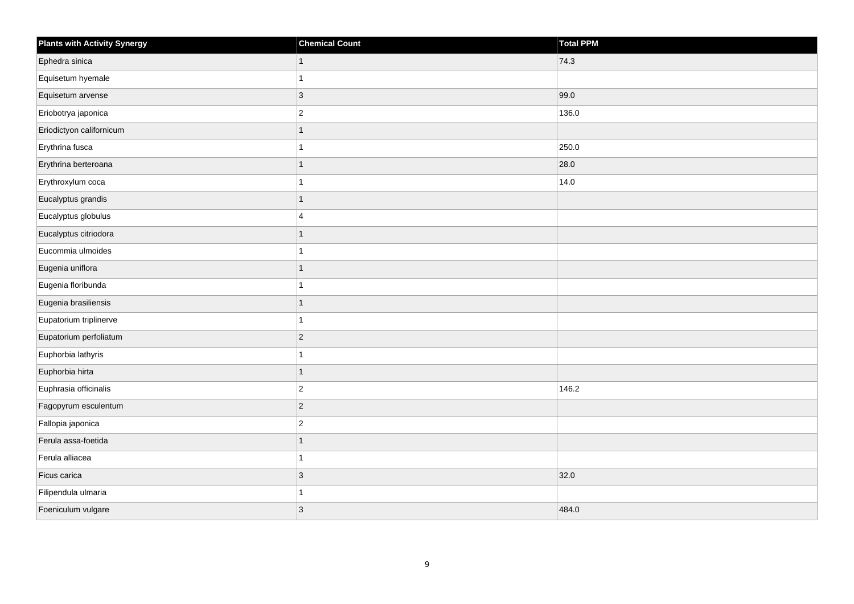| <b>Plants with Activity Synergy</b> | <b>Chemical Count</b> | Total PPM |
|-------------------------------------|-----------------------|-----------|
| Ephedra sinica                      | 1                     | 74.3      |
| Equisetum hyemale                   |                       |           |
| Equisetum arvense                   | $\overline{3}$        | 99.0      |
| Eriobotrya japonica                 | $\overline{2}$        | 136.0     |
| Eriodictyon californicum            |                       |           |
| Erythrina fusca                     |                       | 250.0     |
| Erythrina berteroana                | 1                     | 28.0      |
| Erythroxylum coca                   |                       | 14.0      |
| Eucalyptus grandis                  | 1                     |           |
| Eucalyptus globulus                 | 4                     |           |
| Eucalyptus citriodora               |                       |           |
| Eucommia ulmoides                   |                       |           |
| Eugenia uniflora                    | 1                     |           |
| Eugenia floribunda                  |                       |           |
| Eugenia brasiliensis                |                       |           |
| Eupatorium triplinerve              |                       |           |
| Eupatorium perfoliatum              | $\overline{2}$        |           |
| Euphorbia lathyris                  |                       |           |
| Euphorbia hirta                     | 1                     |           |
| Euphrasia officinalis               | $\overline{2}$        | 146.2     |
| Fagopyrum esculentum                | $\overline{2}$        |           |
| Fallopia japonica                   | $\overline{2}$        |           |
| Ferula assa-foetida                 |                       |           |
| Ferula alliacea                     |                       |           |
| Ficus carica                        | 3                     | 32.0      |
| Filipendula ulmaria                 |                       |           |
| Foeniculum vulgare                  | $\overline{3}$        | 484.0     |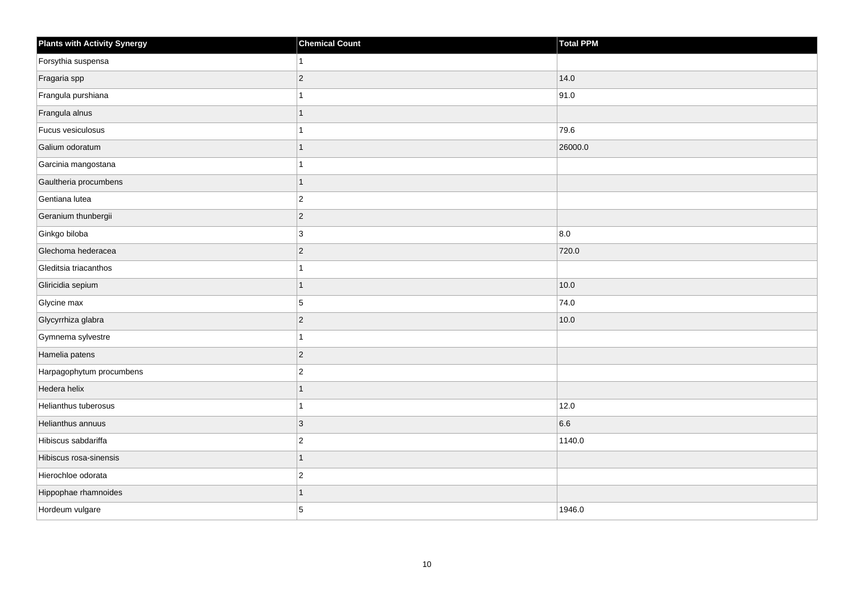| <b>Plants with Activity Synergy</b> | <b>Chemical Count</b> | <b>Total PPM</b> |
|-------------------------------------|-----------------------|------------------|
| Forsythia suspensa                  |                       |                  |
| Fragaria spp                        | $\overline{2}$        | 14.0             |
| Frangula purshiana                  |                       | 91.0             |
| Frangula alnus                      | 1                     |                  |
| Fucus vesiculosus                   |                       | 79.6             |
| Galium odoratum                     |                       | 26000.0          |
| Garcinia mangostana                 |                       |                  |
| Gaultheria procumbens               |                       |                  |
| Gentiana lutea                      | $\overline{c}$        |                  |
| Geranium thunbergii                 | $\overline{2}$        |                  |
| Ginkgo biloba                       | 3                     | 8.0              |
| Glechoma hederacea                  | $\overline{c}$        | 720.0            |
| Gleditsia triacanthos               |                       |                  |
| Gliricidia sepium                   | 1                     | 10.0             |
| Glycine max                         | 5                     | 74.0             |
| Glycyrrhiza glabra                  | $\overline{2}$        | 10.0             |
| Gymnema sylvestre                   |                       |                  |
| Hamelia patens                      | $\overline{c}$        |                  |
| Harpagophytum procumbens            | $\overline{2}$        |                  |
| Hedera helix                        |                       |                  |
| Helianthus tuberosus                |                       | 12.0             |
| Helianthus annuus                   | 3                     | 6.6              |
| Hibiscus sabdariffa                 | $\overline{2}$        | 1140.0           |
| Hibiscus rosa-sinensis              | 1                     |                  |
| Hierochloe odorata                  | $\overline{2}$        |                  |
| Hippophae rhamnoides                |                       |                  |
| Hordeum vulgare                     | 5                     | 1946.0           |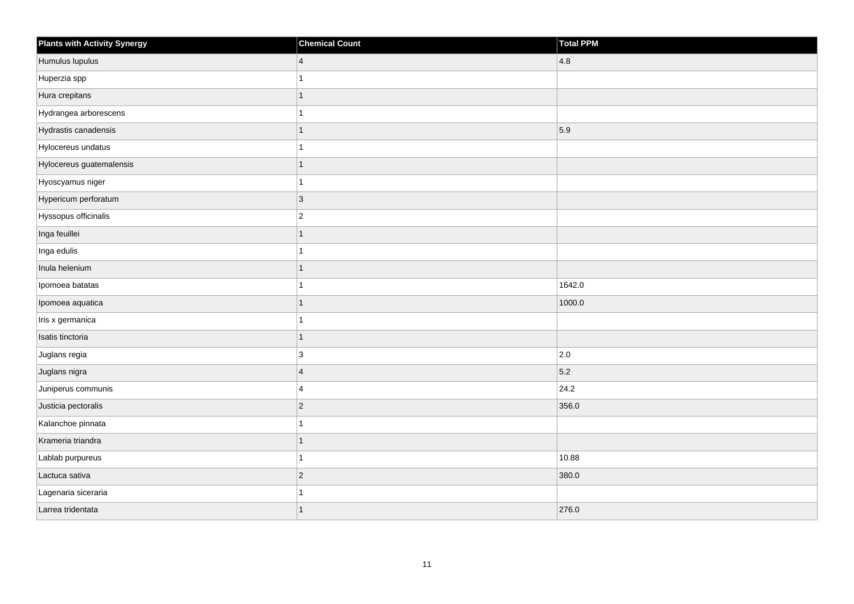| Plants with Activity Synergy | <b>Chemical Count</b> | Total PPM |
|------------------------------|-----------------------|-----------|
| Humulus lupulus              | $\vert 4 \vert$       | 4.8       |
| Huperzia spp                 |                       |           |
| Hura crepitans               |                       |           |
| Hydrangea arborescens        |                       |           |
| Hydrastis canadensis         |                       | 5.9       |
| Hylocereus undatus           |                       |           |
| Hylocereus guatemalensis     |                       |           |
| Hyoscyamus niger             |                       |           |
| Hypericum perforatum         | $ 3\rangle$           |           |
| Hyssopus officinalis         | $ 2\rangle$           |           |
| Inga feuillei                |                       |           |
| Inga edulis                  |                       |           |
| Inula helenium               |                       |           |
| Ipomoea batatas              |                       | 1642.0    |
| Ipomoea aquatica             |                       | 1000.0    |
| Iris x germanica             |                       |           |
| Isatis tinctoria             |                       |           |
| Juglans regia                | $\mathbf{3}$          | 2.0       |
| Juglans nigra                | 4                     | 5.2       |
| Juniperus communis           | $\overline{4}$        | 24.2      |
| Justicia pectoralis          | $ 2\rangle$           | 356.0     |
| Kalanchoe pinnata            |                       |           |
| Krameria triandra            |                       |           |
| Lablab purpureus             |                       | 10.88     |
| Lactuca sativa               | $ 2\rangle$           | 380.0     |
| Lagenaria siceraria          |                       |           |
| Larrea tridentata            |                       | 276.0     |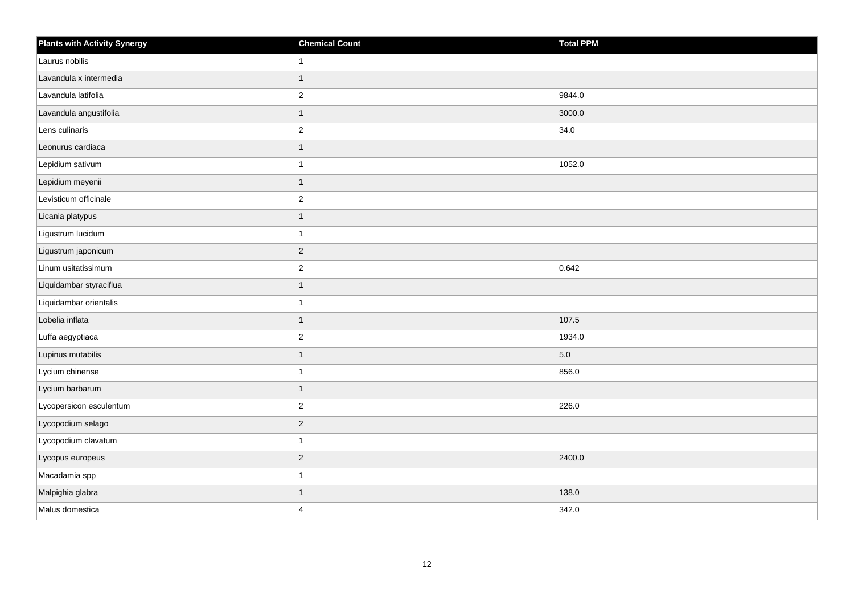| <b>Plants with Activity Synergy</b> | <b>Chemical Count</b> | <b>Total PPM</b> |
|-------------------------------------|-----------------------|------------------|
| Laurus nobilis                      |                       |                  |
| Lavandula x intermedia              |                       |                  |
| Lavandula latifolia                 | $\overline{c}$        | 9844.0           |
| Lavandula angustifolia              | 1                     | 3000.0           |
| Lens culinaris                      | $\overline{2}$        | 34.0             |
| Leonurus cardiaca                   |                       |                  |
| Lepidium sativum                    |                       | 1052.0           |
| Lepidium meyenii                    |                       |                  |
| Levisticum officinale               | $\overline{2}$        |                  |
| Licania platypus                    | 1                     |                  |
| Ligustrum lucidum                   |                       |                  |
| Ligustrum japonicum                 | $ 2\rangle$           |                  |
| Linum usitatissimum                 | $\overline{2}$        | 0.642            |
| Liquidambar styraciflua             |                       |                  |
| Liquidambar orientalis              |                       |                  |
| Lobelia inflata                     | 1                     | 107.5            |
| Luffa aegyptiaca                    | $\overline{2}$        | 1934.0           |
| Lupinus mutabilis                   |                       | 5.0              |
| Lycium chinense                     |                       | 856.0            |
| Lycium barbarum                     | 1                     |                  |
| Lycopersicon esculentum             | $\overline{2}$        | 226.0            |
| Lycopodium selago                   | $\overline{2}$        |                  |
| Lycopodium clavatum                 |                       |                  |
| Lycopus europeus                    | $\overline{2}$        | 2400.0           |
| Macadamia spp                       |                       |                  |
| Malpighia glabra                    |                       | 138.0            |
| Malus domestica                     | $\boldsymbol{\Delta}$ | 342.0            |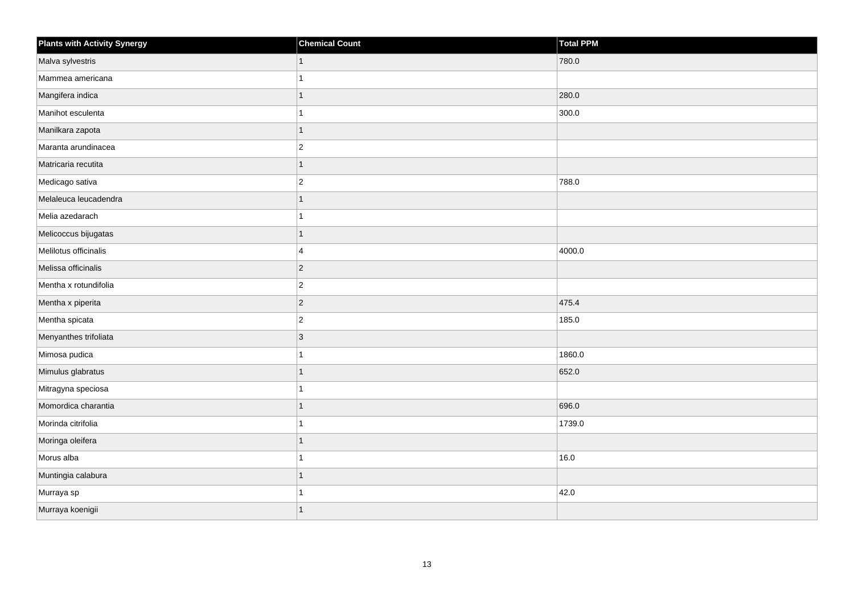| <b>Plants with Activity Synergy</b> | <b>Chemical Count</b> | <b>Total PPM</b> |
|-------------------------------------|-----------------------|------------------|
| Malva sylvestris                    | $\mathbf{1}$          | 780.0            |
| Mammea americana                    | 1                     |                  |
| Mangifera indica                    | $\mathbf{1}$          | 280.0            |
| Manihot esculenta                   | 1                     | 300.0            |
| Manilkara zapota                    | 1                     |                  |
| Maranta arundinacea                 | $ 2\rangle$           |                  |
| Matricaria recutita                 | 1                     |                  |
| Medicago sativa                     | $ 2\rangle$           | 788.0            |
| Melaleuca leucadendra               | $\mathbf{1}$          |                  |
| Melia azedarach                     | $\mathbf{1}$          |                  |
| Melicoccus bijugatas                | 1                     |                  |
| Melilotus officinalis               | $\overline{4}$        | 4000.0           |
| Melissa officinalis                 | $ 2\rangle$           |                  |
| Mentha x rotundifolia               | $ 2\rangle$           |                  |
| Mentha x piperita                   | $ 2\rangle$           | 475.4            |
| Mentha spicata                      | $ 2\rangle$           | 185.0            |
| Menyanthes trifoliata               | 3                     |                  |
| Mimosa pudica                       | 1                     | 1860.0           |
| Mimulus glabratus                   | $\overline{1}$        | 652.0            |
| Mitragyna speciosa                  | 1                     |                  |
| Momordica charantia                 | 1                     | 696.0            |
| Morinda citrifolia                  | 1                     | 1739.0           |
| Moringa oleifera                    | 1                     |                  |
| Morus alba                          | 1                     | 16.0             |
| Muntingia calabura                  | $\mathbf{1}$          |                  |
| Murraya sp                          | 1                     | 42.0             |
| Murraya koenigii                    | 1                     |                  |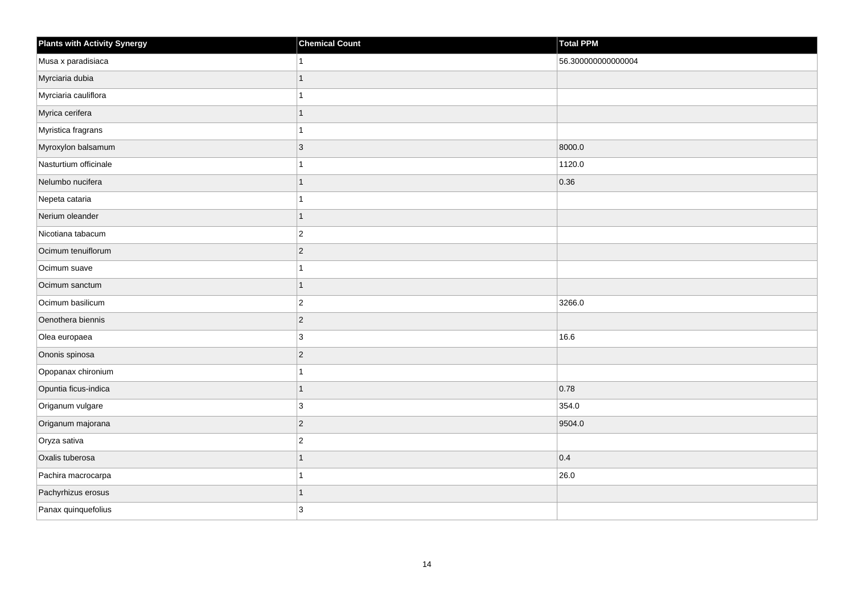| <b>Plants with Activity Synergy</b> | <b>Chemical Count</b> | <b>Total PPM</b>   |
|-------------------------------------|-----------------------|--------------------|
| Musa x paradisiaca                  | 1                     | 56.300000000000004 |
| Myrciaria dubia                     | 1                     |                    |
| Myrciaria cauliflora                | 1                     |                    |
| Myrica cerifera                     | $\overline{1}$        |                    |
| Myristica fragrans                  | 1                     |                    |
| Myroxylon balsamum                  | 3                     | 8000.0             |
| Nasturtium officinale               | 1                     | 1120.0             |
| Nelumbo nucifera                    | $\overline{1}$        | 0.36               |
| Nepeta cataria                      | $\mathbf{1}$          |                    |
| Nerium oleander                     | $\overline{1}$        |                    |
| Nicotiana tabacum                   | $ 2\rangle$           |                    |
| Ocimum tenuiflorum                  | $ 2\rangle$           |                    |
| Ocimum suave                        | $\mathbf{1}$          |                    |
| Ocimum sanctum                      | $\mathbf{1}$          |                    |
| Ocimum basilicum                    | $ 2\rangle$           | 3266.0             |
| Oenothera biennis                   | $ 2\rangle$           |                    |
| Olea europaea                       | 3                     | 16.6               |
| Ononis spinosa                      | $ 2\rangle$           |                    |
| Opopanax chironium                  | $\overline{1}$        |                    |
| Opuntia ficus-indica                | $\mathbf{1}$          | 0.78               |
| Origanum vulgare                    | 3                     | 354.0              |
| Origanum majorana                   | $ 2\rangle$           | 9504.0             |
| Oryza sativa                        | $\vert$ 2             |                    |
| Oxalis tuberosa                     | $\overline{1}$        | 0.4                |
| Pachira macrocarpa                  | $\mathbf{1}$          | 26.0               |
| Pachyrhizus erosus                  | 1                     |                    |
| Panax quinquefolius                 | 3                     |                    |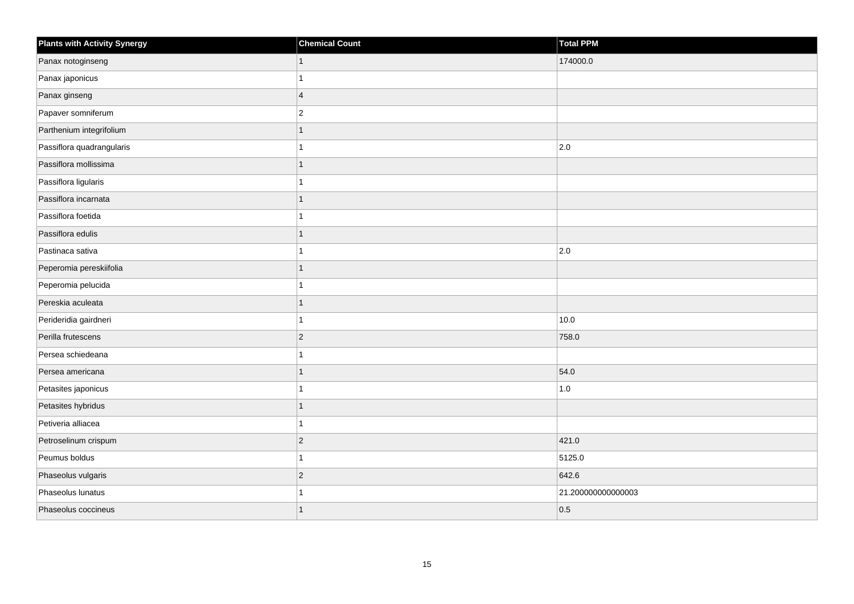| <b>Plants with Activity Synergy</b> | <b>Chemical Count</b> | Total PPM         |
|-------------------------------------|-----------------------|-------------------|
| Panax notoginseng                   | 1                     | 174000.0          |
| Panax japonicus                     |                       |                   |
| Panax ginseng                       | $\overline{4}$        |                   |
| Papaver somniferum                  | $\overline{2}$        |                   |
| Parthenium integrifolium            | 1                     |                   |
| Passiflora quadrangularis           |                       | 2.0               |
| Passiflora mollissima               | 1                     |                   |
| Passiflora ligularis                |                       |                   |
| Passiflora incarnata                |                       |                   |
| Passiflora foetida                  |                       |                   |
| Passiflora edulis                   | 1                     |                   |
| Pastinaca sativa                    |                       | 2.0               |
| Peperomia pereskiifolia             | 1                     |                   |
| Peperomia pelucida                  |                       |                   |
| Pereskia aculeata                   |                       |                   |
| Perideridia gairdneri               | 1                     | 10.0              |
| Perilla frutescens                  | $\overline{2}$        | 758.0             |
| Persea schiedeana                   |                       |                   |
| Persea americana                    | $\overline{1}$        | 54.0              |
| Petasites japonicus                 |                       | 1.0               |
| Petasites hybridus                  |                       |                   |
| Petiveria alliacea                  | 1                     |                   |
| Petroselinum crispum                | $\overline{a}$        | 421.0             |
| Peumus boldus                       |                       | 5125.0            |
| Phaseolus vulgaris                  | $\overline{c}$        | 642.6             |
| Phaseolus lunatus                   |                       | 21.20000000000003 |
| Phaseolus coccineus                 | 1                     | 0.5               |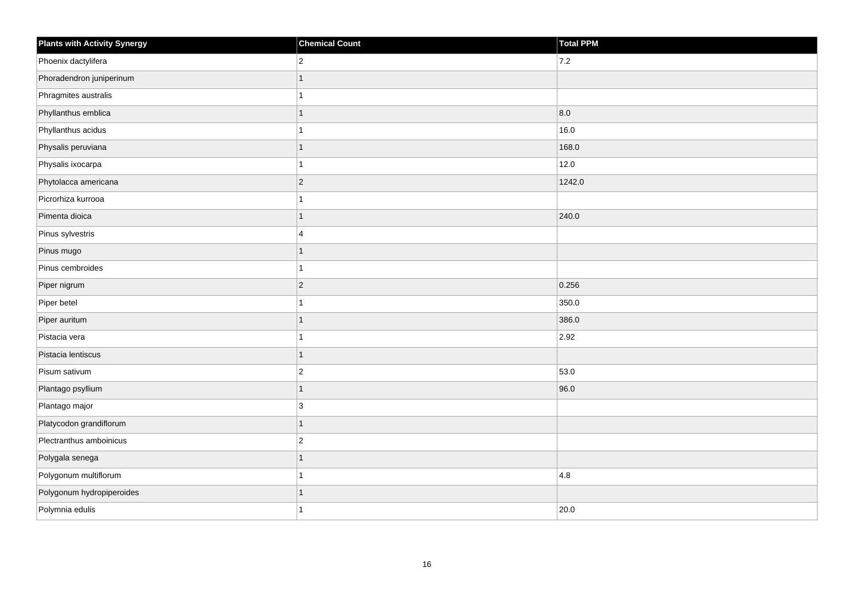| <b>Plants with Activity Synergy</b> | <b>Chemical Count</b> | Total PPM |
|-------------------------------------|-----------------------|-----------|
| Phoenix dactylifera                 | $\overline{2}$        | 7.2       |
| Phoradendron juniperinum            |                       |           |
| Phragmites australis                |                       |           |
| Phyllanthus emblica                 |                       | 8.0       |
| Phyllanthus acidus                  |                       | 16.0      |
| Physalis peruviana                  | 1                     | 168.0     |
| Physalis ixocarpa                   |                       | 12.0      |
| Phytolacca americana                | $\overline{2}$        | 1242.0    |
| Picrorhiza kurrooa                  |                       |           |
| Pimenta dioica                      | $\overline{1}$        | 240.0     |
| Pinus sylvestris                    | 4                     |           |
| Pinus mugo                          |                       |           |
| Pinus cembroides                    | 1                     |           |
| Piper nigrum                        | $\overline{2}$        | 0.256     |
| Piper betel                         |                       | 350.0     |
| Piper auritum                       | 1                     | 386.0     |
| Pistacia vera                       |                       | 2.92      |
| Pistacia lentiscus                  |                       |           |
| Pisum sativum                       | $\overline{c}$        | 53.0      |
| Plantago psyllium                   | 1                     | 96.0      |
| Plantago major                      | 3                     |           |
| Platycodon grandiflorum             | 1                     |           |
| Plectranthus amboinicus             | $\overline{2}$        |           |
| Polygala senega                     |                       |           |
| Polygonum multiflorum               |                       | 4.8       |
| Polygonum hydropiperoides           |                       |           |
| Polymnia edulis                     |                       | 20.0      |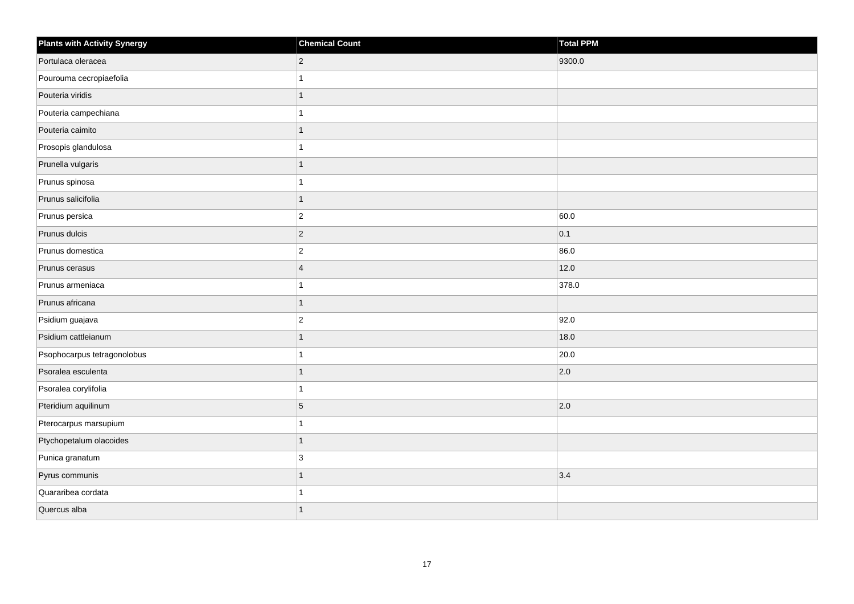| <b>Plants with Activity Synergy</b> | <b>Chemical Count</b> | Total PPM |
|-------------------------------------|-----------------------|-----------|
| Portulaca oleracea                  | $\overline{2}$        | 9300.0    |
| Pourouma cecropiaefolia             |                       |           |
| Pouteria viridis                    |                       |           |
| Pouteria campechiana                |                       |           |
| Pouteria caimito                    | 1                     |           |
| Prosopis glandulosa                 |                       |           |
| Prunella vulgaris                   | 1                     |           |
| Prunus spinosa                      |                       |           |
| Prunus salicifolia                  | 1                     |           |
| Prunus persica                      | $\overline{c}$        | 60.0      |
| Prunus dulcis                       | $\overline{2}$        | 0.1       |
| Prunus domestica                    | $\overline{c}$        | 86.0      |
| Prunus cerasus                      | $\overline{4}$        | 12.0      |
| Prunus armeniaca                    |                       | 378.0     |
| Prunus africana                     | 1                     |           |
| Psidium guajava                     | $\overline{c}$        | 92.0      |
| Psidium cattleianum                 |                       | 18.0      |
| Psophocarpus tetragonolobus         |                       | 20.0      |
| Psoralea esculenta                  | 1                     | 2.0       |
| Psoralea corylifolia                |                       |           |
| Pteridium aquilinum                 | 5                     | 2.0       |
| Pterocarpus marsupium               |                       |           |
| Ptychopetalum olacoides             | 1                     |           |
| Punica granatum                     | 3                     |           |
| Pyrus communis                      | $\overline{1}$        | 3.4       |
| Quararibea cordata                  |                       |           |
| Quercus alba                        |                       |           |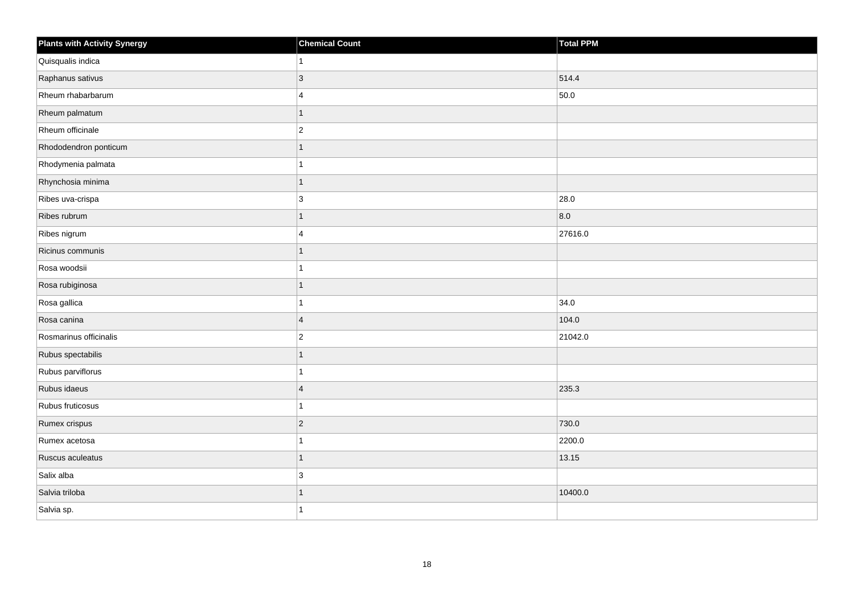| <b>Plants with Activity Synergy</b> | <b>Chemical Count</b>   | Total PPM |
|-------------------------------------|-------------------------|-----------|
| Quisqualis indica                   | 1                       |           |
| Raphanus sativus                    | 3                       | 514.4     |
| Rheum rhabarbarum                   | $\overline{4}$          | 50.0      |
| Rheum palmatum                      | 1                       |           |
| Rheum officinale                    | $\overline{c}$          |           |
| Rhododendron ponticum               |                         |           |
| Rhodymenia palmata                  |                         |           |
| Rhynchosia minima                   | 1                       |           |
| Ribes uva-crispa                    | 3                       | 28.0      |
| Ribes rubrum                        | 1                       | 8.0       |
| Ribes nigrum                        | $\overline{\mathbf{4}}$ | 27616.0   |
| Ricinus communis                    |                         |           |
| Rosa woodsii                        | 1                       |           |
| Rosa rubiginosa                     |                         |           |
| Rosa gallica                        |                         | 34.0      |
| Rosa canina                         | $\vert 4$               | 104.0     |
| Rosmarinus officinalis              | $\overline{c}$          | 21042.0   |
| Rubus spectabilis                   |                         |           |
| Rubus parviflorus                   | $\overline{1}$          |           |
| Rubus idaeus                        | $\overline{4}$          | 235.3     |
| Rubus fruticosus                    | 1                       |           |
| Rumex crispus                       | $ 2\rangle$             | 730.0     |
| Rumex acetosa                       |                         | 2200.0    |
| Ruscus aculeatus                    | 1                       | 13.15     |
| Salix alba                          | 3                       |           |
| Salvia triloba                      |                         | 10400.0   |
| Salvia sp.                          |                         |           |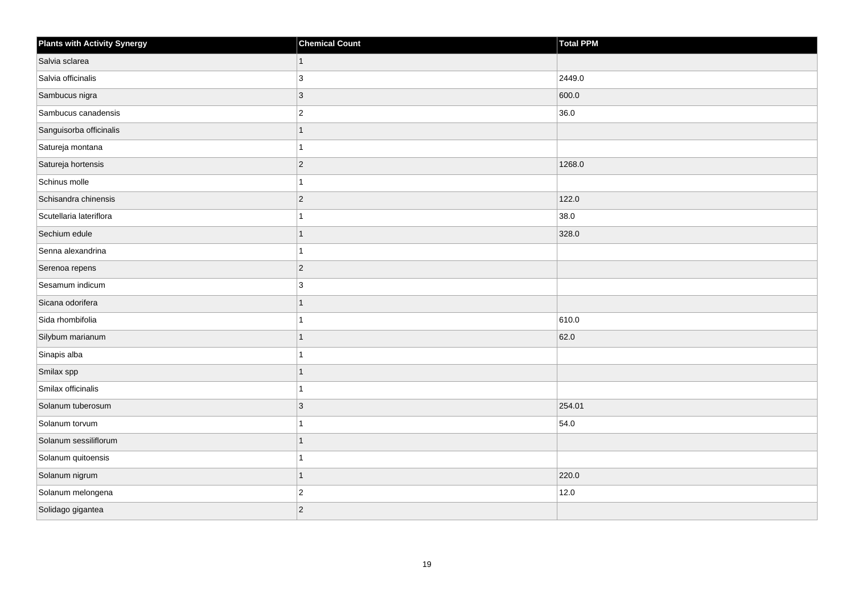| <b>Plants with Activity Synergy</b> | <b>Chemical Count</b> | <b>Total PPM</b> |
|-------------------------------------|-----------------------|------------------|
| Salvia sclarea                      | 1                     |                  |
| Salvia officinalis                  | 3                     | 2449.0           |
| Sambucus nigra                      | $\overline{3}$        | 600.0            |
| Sambucus canadensis                 | $\overline{2}$        | 36.0             |
| Sanguisorba officinalis             |                       |                  |
| Satureja montana                    |                       |                  |
| Satureja hortensis                  | $\overline{2}$        | 1268.0           |
| Schinus molle                       |                       |                  |
| Schisandra chinensis                | $\overline{2}$        | 122.0            |
| Scutellaria lateriflora             |                       | 38.0             |
| Sechium edule                       |                       | 328.0            |
| Senna alexandrina                   |                       |                  |
| Serenoa repens                      | $\overline{2}$        |                  |
| Sesamum indicum                     | 3                     |                  |
| Sicana odorifera                    |                       |                  |
| Sida rhombifolia                    |                       | 610.0            |
| Silybum marianum                    |                       | 62.0             |
| Sinapis alba                        |                       |                  |
| Smilax spp                          | 1                     |                  |
| Smilax officinalis                  |                       |                  |
| Solanum tuberosum                   | 3                     | 254.01           |
| Solanum torvum                      |                       | 54.0             |
| Solanum sessiliflorum               |                       |                  |
| Solanum quitoensis                  |                       |                  |
| Solanum nigrum                      | $\overline{1}$        | 220.0            |
| Solanum melongena                   | $\overline{c}$        | 12.0             |
| Solidago gigantea                   | $\overline{2}$        |                  |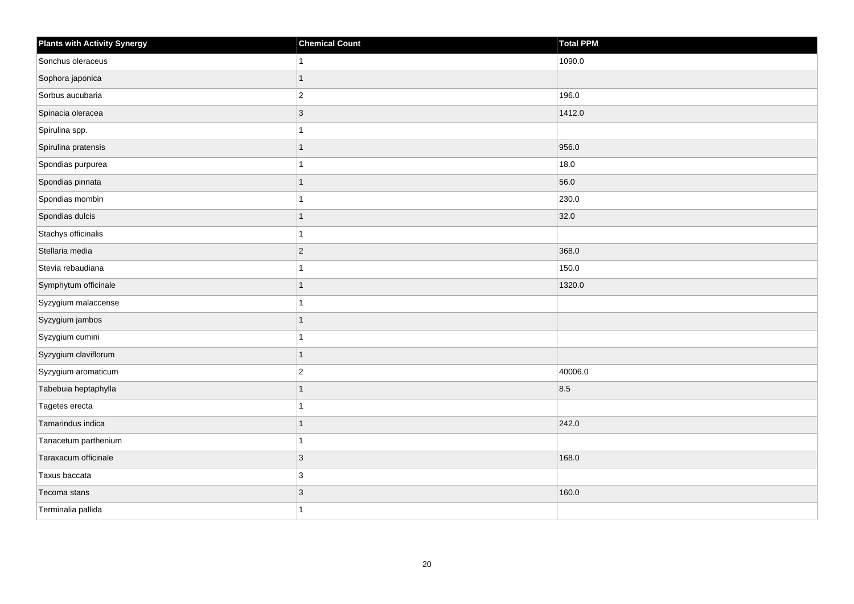| <b>Plants with Activity Synergy</b> | <b>Chemical Count</b> | Total PPM |
|-------------------------------------|-----------------------|-----------|
| Sonchus oleraceus                   |                       | 1090.0    |
| Sophora japonica                    |                       |           |
| Sorbus aucubaria                    | $\overline{c}$        | 196.0     |
| Spinacia oleracea                   | $\overline{3}$        | 1412.0    |
| Spirulina spp.                      |                       |           |
| Spirulina pratensis                 | 1                     | 956.0     |
| Spondias purpurea                   |                       | 18.0      |
| Spondias pinnata                    | 1                     | 56.0      |
| Spondias mombin                     |                       | 230.0     |
| Spondias dulcis                     | 1                     | 32.0      |
| Stachys officinalis                 |                       |           |
| Stellaria media                     | $\overline{c}$        | 368.0     |
| Stevia rebaudiana                   | 1                     | 150.0     |
| Symphytum officinale                | 1                     | 1320.0    |
| Syzygium malaccense                 |                       |           |
| Syzygium jambos                     | 1                     |           |
| Syzygium cumini                     |                       |           |
| Syzygium claviflorum                | 1                     |           |
| Syzygium aromaticum                 | $\overline{2}$        | 40006.0   |
| Tabebuia heptaphylla                | 1                     | 8.5       |
| Tagetes erecta                      |                       |           |
| Tamarindus indica                   | 1                     | 242.0     |
| Tanacetum parthenium                |                       |           |
| Taraxacum officinale                | 3                     | 168.0     |
| Taxus baccata                       | 3                     |           |
| Tecoma stans                        | 3                     | 160.0     |
| Terminalia pallida                  |                       |           |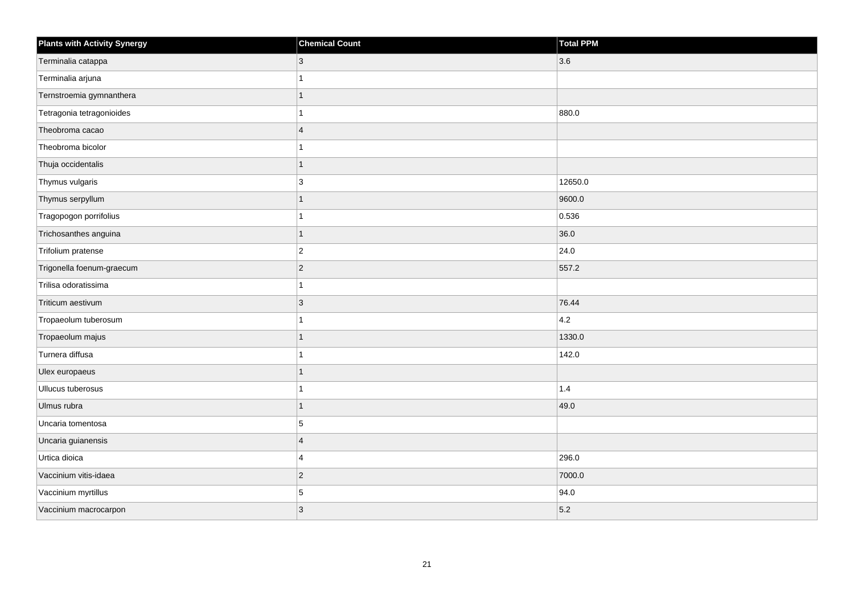| <b>Plants with Activity Synergy</b> | <b>Chemical Count</b> | Total PPM |
|-------------------------------------|-----------------------|-----------|
| Terminalia catappa                  | 3                     | 3.6       |
| Terminalia arjuna                   |                       |           |
| Ternstroemia gymnanthera            |                       |           |
| Tetragonia tetragonioides           |                       | 880.0     |
| Theobroma cacao                     | $\overline{4}$        |           |
| Theobroma bicolor                   |                       |           |
| Thuja occidentalis                  | 1                     |           |
| Thymus vulgaris                     | 3                     | 12650.0   |
| Thymus serpyllum                    |                       | 9600.0    |
| Tragopogon porrifolius              |                       | 0.536     |
| Trichosanthes anguina               | 1                     | 36.0      |
| Trifolium pratense                  | $\overline{c}$        | 24.0      |
| Trigonella foenum-graecum           | $\overline{2}$        | 557.2     |
| Trilisa odoratissima                |                       |           |
| Triticum aestivum                   | 3                     | 76.44     |
| Tropaeolum tuberosum                |                       | 4.2       |
| Tropaeolum majus                    | 1                     | 1330.0    |
| Turnera diffusa                     |                       | 142.0     |
| Ulex europaeus                      | $\overline{1}$        |           |
| Ullucus tuberosus                   |                       | 1.4       |
| Ulmus rubra                         | 1                     | 49.0      |
| Uncaria tomentosa                   | 5                     |           |
| Uncaria guianensis                  | $\overline{4}$        |           |
| Urtica dioica                       | 4                     | 296.0     |
| Vaccinium vitis-idaea               | $\overline{2}$        | 7000.0    |
| Vaccinium myrtillus                 | 5                     | 94.0      |
| Vaccinium macrocarpon               | 3                     | 5.2       |